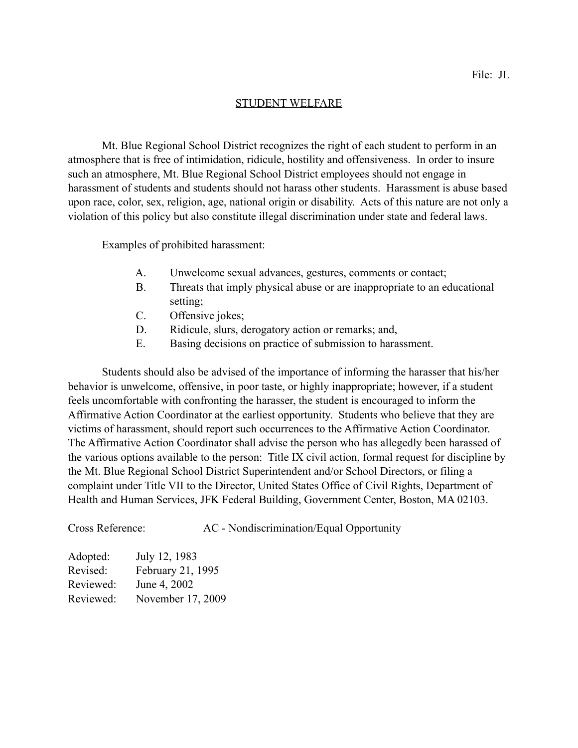## STUDENT WELFARE

 Mt. Blue Regional School District recognizes the right of each student to perform in an atmosphere that is free of intimidation, ridicule, hostility and offensiveness. In order to insure such an atmosphere, Mt. Blue Regional School District employees should not engage in harassment of students and students should not harass other students. Harassment is abuse based upon race, color, sex, religion, age, national origin or disability. Acts of this nature are not only a violation of this policy but also constitute illegal discrimination under state and federal laws.

Examples of prohibited harassment:

- A. Unwelcome sexual advances, gestures, comments or contact;
- B. Threats that imply physical abuse or are inappropriate to an educational setting;
- C. Offensive jokes;
- D. Ridicule, slurs, derogatory action or remarks; and,
- E. Basing decisions on practice of submission to harassment.

 Students should also be advised of the importance of informing the harasser that his/her behavior is unwelcome, offensive, in poor taste, or highly inappropriate; however, if a student feels uncomfortable with confronting the harasser, the student is encouraged to inform the Affirmative Action Coordinator at the earliest opportunity. Students who believe that they are victims of harassment, should report such occurrences to the Affirmative Action Coordinator. The Affirmative Action Coordinator shall advise the person who has allegedly been harassed of the various options available to the person: Title IX civil action, formal request for discipline by the Mt. Blue Regional School District Superintendent and/or School Directors, or filing a complaint under Title VII to the Director, United States Office of Civil Rights, Department of Health and Human Services, JFK Federal Building, Government Center, Boston, MA 02103.

Cross Reference: AC - Nondiscrimination/Equal Opportunity

| Adopted:  | July 12, 1983     |
|-----------|-------------------|
| Revised:  | February 21, 1995 |
| Reviewed: | June 4, 2002      |
| Reviewed: | November 17, 2009 |